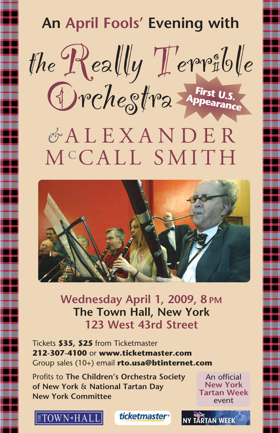## **An April Fools' Evening with** theReally Terrible Orchestra *&* ALEXANDER MC CALL SMITH **First U.S. Appearance**



**Wednesday April 1, 2009, 8 PM The Town Hall, New York 123 West 43rd Street**

Tickets **\$35, \$25** from Ticketmaster **212-307-4100** or **www.ticketmaster.com** Group sales (10+) email **rto.usa@btinternet.com**

Profits to **The Children's Orchestra Society of New York** & **National Tartan Day New York Committee**

An official **New York Tartan Week** event

**TARTAN WEEL**